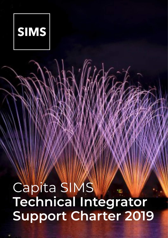

# Capita SIMS **Technical Integrator Support Charter 2019**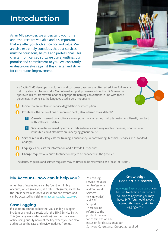# **Introduction**

As an MIS provider, we understand your time and resources are valuable and it's important that we offer you both efficiency and value. We are also extremely conscious that our services must be courteous, helpful and professional. This charter (for licensed software users) outlines our promise and commitment to you. We constantly evaluate ourselves against this charter and strive for continuous improvement.



As Capita SIMS develops its solutions and customer base, we are often asked if we follow any industry standard frameworks. Our internal support processes follow the UK Government approved ITIL V3 framework and the appropriate naming conventions in line with those guidelines. In doing so, the language used is very important:

- **! Incident** = an unplanned service degradation or interruption.
- **! Problem** = the cause of one or more incidents, also referred to as 'defects'.
	- **1.** Generic = caused by a software error, potentially affecting multiple customers. Usually resolved with software updates.
	- **1.** Site-specific = caused by errors in data (where a script may resolve the issue) or other local issues but could also have an underlying generic cause.
- **1 Service request** = Requests for Training, Consultancy, Report Writing, Technical Services and Standard Changes.
	- **! Enquiry** = Requests for information and "How do I..?" queries.
	- **Change request** = Request for functionality to be enhanced in the product.

Incidents, enquiries and service requests may at times all be referred to as a 'case' or 'ticket'.

#### **My Account– how can it help you?**

A number of useful tools can be found within My Account, which gives you, as a SIMS Integrator, access to the latest news, resources, discussions and events, and can be accessed by visiting myaccount.capita-cs.co.uk.

#### **Case Logging**

If a solution cannot be located, you can log a support incident or enquiry directly with the SIMS Service Desk. This (and any associated solution) can then be viewed online using our My Account facility, where you can also add notes to the case and review updates from us.

You can log service requests for Professional and Technical Services (e.g. upgrades) and API Support. These will be referred to the product manager for consideration and inclusion for discussion at our Software Consultancy Groups, as required.

#### **Knowledge Base article search**

Knowledge Base article search can

be used to obtain an immediate solution to any issue you may have, 24/7. You should always attempt this search, prior to logging a case.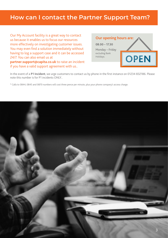### **How can I contact the Partner Support Team?**

Our My Account facility is a great way to contact us because it enables us to focus our resources more effectively on investigating customer issues. You may even find a solution immediately without having to log a support case and it can be accessed 24/7. You can also email us at **partner.support@capita.co.uk** to raise an incident if you have a valid support agreement with us..



In the event of a **P1 Incident**, we urge customers to contact us by phone in the first instance on 01234 832186. Please note this number is for P1 incidents ONLY..

\* Calls to 0844, 0845 and 0870 numbers will cost three pence per minute, plus your phone company's access charge.

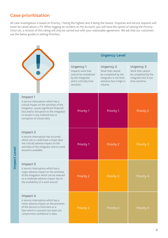### **Case prioritisation**

 $\overline{\phantom{a}}$ 

All case investigation is based on Priority, 1 being the highest and 4 being the lowest. Enquiries and service requests will never be raised above a P3. When logging an incident on My Account, you will have the option of setting the Priority. Once set, a revision of this rating will only be carried out with your reasonable agreement. We ask that our customers use the below guides in setting Priorities.

|                                                                                                                                                                                                                                                        |  | <b>Urgency Level</b>                                                                                                     |                                                                                                                              |                                                                                                         |  |
|--------------------------------------------------------------------------------------------------------------------------------------------------------------------------------------------------------------------------------------------------------|--|--------------------------------------------------------------------------------------------------------------------------|------------------------------------------------------------------------------------------------------------------------------|---------------------------------------------------------------------------------------------------------|--|
|                                                                                                                                                                                                                                                        |  | <b>Urgency 1</b><br>Impacts work that<br>cannot be completed<br>by the integrator<br>and is critically time<br>sensitive | <b>Urgency 2</b><br>Work that cannot<br>be completed by the<br>integrator is not time<br>sensitive but is high in<br>volume. | <b>Urgency 3</b><br>Work that cannot<br>be completed by the<br>integrator but is not<br>time sensitive. |  |
| Impact 1<br>A service interruption which has a<br>critical impact on the activities of the<br>integrator, causes significant financial<br>loss and/or disruption to the integrator<br>or results in any material loss or<br>corruption of school data. |  | <b>Priority 1</b>                                                                                                        | <b>Priority 1</b>                                                                                                            | <b>Priority 2</b>                                                                                       |  |
| Impact <sub>2</sub><br>A service interruption has occurred<br>which can or could have a major (but<br>not critical) adverse impact on the<br>activities of the integrator and no work<br>around is available.                                          |  | <b>Priority 1</b>                                                                                                        | <b>Priority 2</b>                                                                                                            | <b>Priority 3</b>                                                                                       |  |
| Impact 3<br>A service interruption which has a<br>major adverse impact on the activities<br>of the integrator which can be reduced<br>to a moderate adverse impact due to<br>the availability of a work around.                                        |  | <b>Priority 2</b>                                                                                                        | <b>Priority 3</b>                                                                                                            | Priority 4                                                                                              |  |
| Impact 4<br>A service interruption which has a<br>minor adverse impact on the provision<br>of the Service to End Users or a<br>flaw which is cosmetic but does not<br>compromise confidence in data.                                                   |  | <b>Priority 3</b>                                                                                                        | Priority 4                                                                                                                   | Priority 4                                                                                              |  |

Impact Level **Impact Level**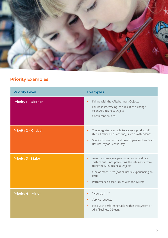

### **Priority Examples**

| <b>Priority Level</b>        | <b>Examples</b>                                                                                                                                                                                                                                                                        |
|------------------------------|----------------------------------------------------------------------------------------------------------------------------------------------------------------------------------------------------------------------------------------------------------------------------------------|
| <b>Priority 1 - Blocker</b>  | Failure with the APIs/Business Objects<br>$\bullet$<br>Failure in interfacing as a result of a change<br>$\bullet$<br>to an API/Business Object<br>Consultant on-site.                                                                                                                 |
| <b>Priority 2 - Critical</b> | The integrator is unable to access a product API<br>$\bullet$<br>(but all other areas are fine), such as Attendance<br>Specific business critical time of year such as Exam<br>$\bullet$<br>Results Day or Census Day.                                                                 |
| <b>Priority 3 - Major</b>    | An error message appearing on an individual's<br>$\bullet$<br>system but is not preventing the integrator from<br>using the APIs/Business Objects<br>One or more users (not all users) experiencing an<br>$\bullet$<br>issue<br>Performance-based issues with the system.<br>$\bullet$ |
| <b>Priority 4 - Minor</b>    | "How do I?"<br>Service requests<br>Help with performing tasks within the system or<br>$\bullet$<br>APIs/Business Objects.                                                                                                                                                              |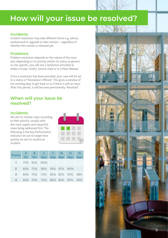# **How will your issue be resolved?**

#### **Incidents**

Incident resolution may take different forms e.g. advice, workaround or upgrade to later version – regardless of whether this version is released yet.

#### **Problems**

Problem resolution depends on the nature of the issue and, depending on its priority and/or its status as generic or site-specific, you will see a resolution provided as either a Script, Hotfix, Service Pack or in a Main Release.

Once a resolution has been provided, your case will be set to a status of 'Resolution Offered'. This gives a window of ten working days to get back to us if there is still an issue. After this period, it will become permanently 'Resolved'.

#### **When will your issue be resolved?**

#### **Incidents**

We aim to resolve cases according to their priority, usually with the most urgent and impactful cases being addressed first. The following is the Key Performance Indicator we use to target how quickly we aim to resolve an incident.



| Priority 4 8 2 5 10 12 15<br>hrs hrs days days days days days days |  |                             |  |  |
|--------------------------------------------------------------------|--|-----------------------------|--|--|
|                                                                    |  |                             |  |  |
|                                                                    |  | 1 75% 95% 100%              |  |  |
|                                                                    |  | 2 60% 75% 90% 95% 97% 100%  |  |  |
| $\mathbf{3}$                                                       |  | 60% 70% 75% 80% 85% 95% 98% |  |  |
| 4                                                                  |  | 60% 70% 75% 80% 85% 87% 90% |  |  |

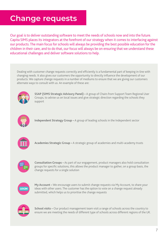# **Change requests**

Our goal is to deliver outstanding software to meet the needs of schools now and into the future. Capita SIMS places its integrators at the forefront of our strategy when it comes to interfacing against our products. The main focus for schools will always be providing the best possible education for the children in their care, and to do that, our focus will always be on ensuring that we understand these educational challenges and deliver software solutions to help.

Dealing with customer change requests correctly and efficiently is a fundamental part of keeping in-line with changing needs. It also gives our customers the opportunity to directly influence the development of our products. We capture change requests in a number of mediums to ensure that we are giving our customers alternate ways to consult with us. An example of these are:



**SSAP (SIMS Strategic Advisory Panel) –** A group of Chairs from Support Team Regional User Groups, to advise us on local issues and give strategic direction regarding the schools they support



**Independent Strategy Group –** A group of leading schools in the Independent sector



**Academies Strategic Group –** A strategic group of academies and multi-academy trusts



**Consultation Groups –** As part of our engagement, product managers also hold consultation groups for specific solutions, this allows the product manager to gather, on a group basis, the change requests for a single solution



**My Account –** We encourage users to submit change requests via My Account, to share your ideas with other users. The customer has the option to vote on a change request already submitted, which helps us to prioritise the change requests



**School visits –** Our product management team visit a range of schools across the country to ensure we are meeting the needs of different type of schools across different regions of the UK.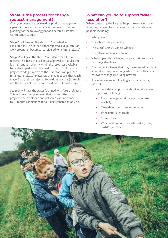#### **What is the process for change request management?**

Change requests are reviewed by product managers on a periodic basis and especially at the time of business planning for the following year and before Customer Consultation Groups.

**Stage 1** will take on the status of 'published for consultation'. This is then either rejected, a duplicate (or work around) or becomes 'considered for a future release'.

**Stage 2** will have the status 'considered for a future release'. This has achieved initial approval, is popular and is a high enough priority within the resources available to be developed within the next 36 months. Once on a project backlog it moves to the next status of 'planned for a future release'. However, change requests that reach stage 2 may still be rejected for various reasons (example: not the sufficient number of votes) and not reach stage 3.

**Stage 3** will have the status 'planned for a future release'. This will be a change request that is committed to a project to be developed and delivered within the next 12 to 18 months or planned for our next generation of SIMS.

#### **What can you do to support faster resolution?**

When contacting the Partner Support team about any issue, be prepared to provide as much information as possible including:

- Who you are
- The school this is affecting
- The specific APIs/Business Objects
- The release version you are on
- What impact this is having on your business in real terms e.g. deadlines
- Environmental issues that may have caused or might affect it e.g. any recent upgrades, other software or hardware changes including network
- A reference number (if calling about an existing matter):
	- As much detail as possible about what you are reporting, including:
		- Error messages (and the steps you take to reach it)
		- Time/date when these errors occur
		- If the issue is replicable
		- Screenshots
		- What environments are affected e.g. Live/ Test/Project/Train.

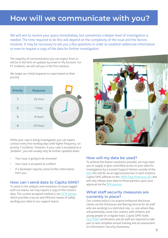## **How will we communicate with you?**

We will aim to resolve your query immediately, but sometimes a deeper level of investigation is needed. The time required to do this will depend on the complexity of the issue and the factors involved. It may be necessary to ask you a few questions in order to establish additional information or even to request a copy of the data for further investigation.

The majority of communication you can expect from us will be in the form of updates by email or My Account. For P1 incidents, we will call you in the first instance.

We target our initial response to cases based on their priority:



While your case is being investigated, you can expect contact every five working days with higher frequency, on priority 1 incidents. However, if your case is escalated as a 'problem', you will usually only be further updated when:

- Your issue is going to be reviewed
- Your issue is accepted as a defect
- If a developer requires some further information from you.

#### **How can I send data to Capita SIMS?**

To assist in the analysis and resolution of issues logged with our teams, we may require a copy of the school's data. The current accepted method is our SFTP service which provides a secure and efficient means of safely sending your data to our support teams.



#### **How will my data be used?**

To achieve the fastest resolution possible, we may need you to supply or give controlled access to your data for investigation by a trusted Support Partner outside of the EEA; this will be via an approval process in each instance. Capita SIMS adheres to the 1998 Data Protection Act and will only release your data to these partners upon your approval via the DPA process.

#### **What staff security measures are currently in place?**

Our current policy is to acquire enhanced disclosure checks via the Disclosure and Barring Service for all staff who are working in a restricted role, i.e. one where they will potentially come into contact with children and young people on a regular basis. Capita SIMS holds ISO 27001 certification and all staff are required to take part in and complete annual training and an assessment on Information Security Awareness.